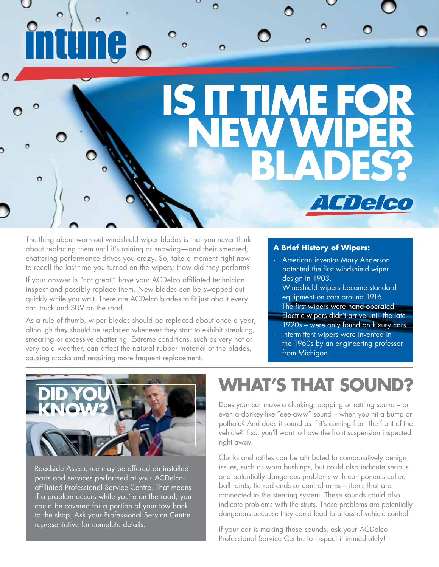# $\bullet$  $\bullet$ **ISIT TIME FOR NEWWIPER BLADES?**  $\bullet$ Ō l Chelco

The thing about worn-out windshield wiper blades is that you never think about replacing them until it's raining or snowing—and their smeared, chattering performance drives you crazy. So, take a moment right now to recall the last time you turned on the wipers: How did they perform?

If your answer is "not great," have your ACDelco affiliated technician inspect and possibly replace them. New blades can be swapped out quickly while you wait. There are ACDelco blades to fit just about every car, truck and SUV on the road.

As a rule of thumb, wiper blades should be replaced about once a year, although they should be replaced whenever they start to exhibit streaking, smearing or excessive chattering. Extreme conditions, such as very hot or very cold weather, can affect the natural rubber material of the blades, causing cracks and requiring more frequent replacement.

#### **A Brief History of Wipers:**

- · American inventor Mary Anderson patented the first windshield wiper design in 1903.
- · Windshield wipers became standard equipment on cars around 1916.
- The first wipers were hand-operated.
- Electric wipers didn't arrive until the late 1920s – were only found on luxury cars.
- Intermittent wipers were invented in the 1960s by an engineering professor from Michigan.



Roadside Assistance may be offered on installed parts and services performed at your ACDelcoaffiliated Professional Service Centre. That means if a problem occurs while you're on the road, you could be covered for a portion of your tow back to the shop. Ask your Professional Service Centre representative for complete details.

## **WHAT'S THAT SOUND?**

Does your car make a clunking, popping or rattling sound – or even a donkey-like "eee-aww" sound – when you hit a bump or pothole? And does it sound as if it's coming from the front of the vehicle? If so, you'll want to have the front suspension inspected right away.

Clunks and rattles can be attributed to comparatively benign issues, such as worn bushings, but could also indicate serious and potentially dangerous problems with components called ball joints, tie rod ends or control arms – items that are connected to the steering system. These sounds could also indicate problems with the struts. Those problems are potentially dangerous because they could lead to a loss of vehicle control.

If your car is making those sounds, ask your ACDelco Professional Service Centre to inspect it immediately!